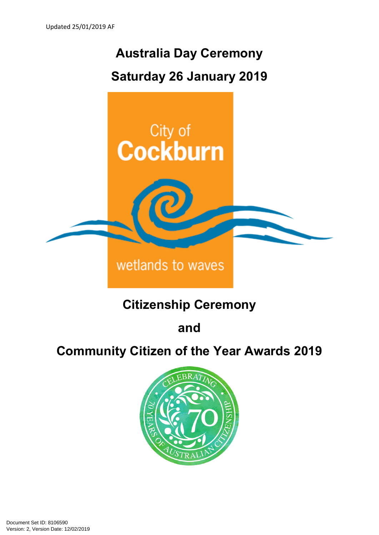# **Australia Day Ceremony Saturday 26 January 2019**



# **Citizenship Ceremony**

**and** 

## **Community Citizen of the Year Awards 2019**

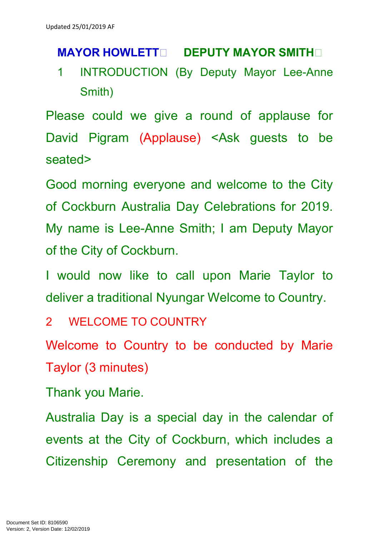### **MAYOR HOWLETT DEPUTY MAYOR SMITH**

1 INTRODUCTION (By Deputy Mayor Lee-Anne Smith)

Please could we give a round of applause for David Pigram (Applause) <Ask guests to be seated>

Good morning everyone and welcome to the City of Cockburn Australia Day Celebrations for 2019. My name is Lee-Anne Smith; I am Deputy Mayor of the City of Cockburn.

I would now like to call upon Marie Taylor to deliver a traditional Nyungar Welcome to Country.

2 WELCOME TO COUNTRY

Welcome to Country to be conducted by Marie Taylor (3 minutes)

Thank you Marie.

Australia Day is a special day in the calendar of events at the City of Cockburn, which includes a Citizenship Ceremony and presentation of the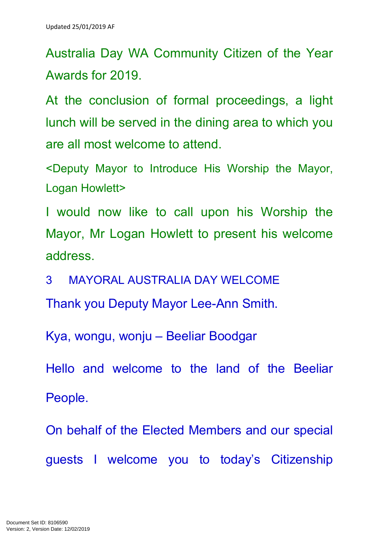Australia Day WA Community Citizen of the Year Awards for 2019.

At the conclusion of formal proceedings, a light lunch will be served in the dining area to which you are all most welcome to attend.

<Deputy Mayor to Introduce His Worship the Mayor, Logan Howlett>

I would now like to call upon his Worship the Mayor, Mr Logan Howlett to present his welcome address.

3 MAYORAL AUSTRALIA DAY WELCOME

Thank you Deputy Mayor Lee-Ann Smith.

Kya, wongu, wonju – Beeliar Boodgar

Hello and welcome to the land of the Beeliar People.

On behalf of the Elected Members and our special guests I welcome you to today's Citizenship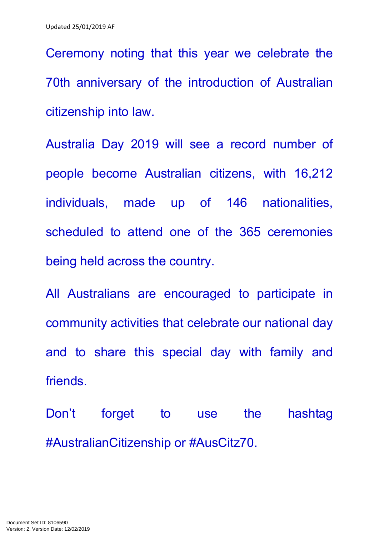Ceremony noting that this year we celebrate the 70th anniversary of the introduction of Australian citizenship into law.

Australia Day 2019 will see a record number of people become Australian citizens, with 16,212 individuals, made up of 146 nationalities, scheduled to attend one of the 365 ceremonies being held across the country.

All Australians are encouraged to participate in community activities that celebrate our national day and to share this special day with family and friends.

Don't forget to use the hashtag #AustralianCitizenship or #AusCitz70.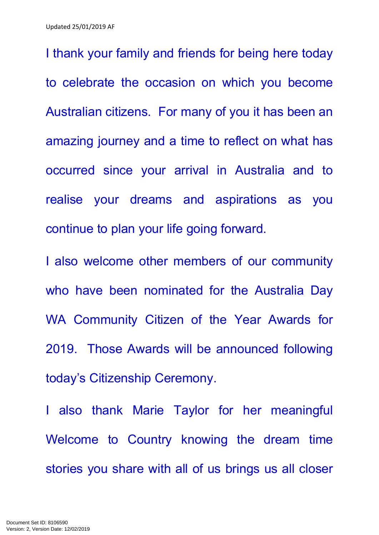I thank your family and friends for being here today to celebrate the occasion on which you become Australian citizens. For many of you it has been an amazing journey and a time to reflect on what has occurred since your arrival in Australia and to realise your dreams and aspirations as you continue to plan your life going forward.

I also welcome other members of our community who have been nominated for the Australia Day WA Community Citizen of the Year Awards for 2019. Those Awards will be announced following today's Citizenship Ceremony.

I also thank Marie Taylor for her meaningful Welcome to Country knowing the dream time stories you share with all of us brings us all closer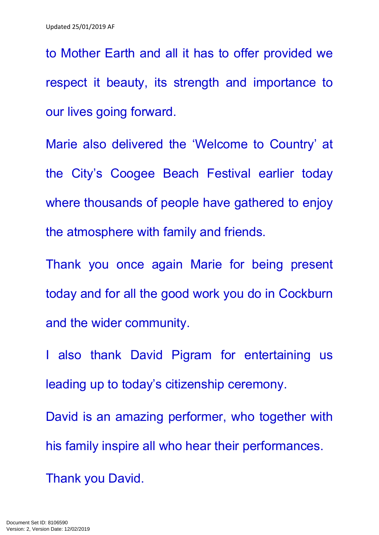to Mother Earth and all it has to offer provided we respect it beauty, its strength and importance to our lives going forward.

Marie also delivered the 'Welcome to Country' at the City's Coogee Beach Festival earlier today where thousands of people have gathered to enjoy the atmosphere with family and friends.

Thank you once again Marie for being present today and for all the good work you do in Cockburn and the wider community.

I also thank David Pigram for entertaining us leading up to today's citizenship ceremony.

David is an amazing performer, who together with his family inspire all who hear their performances. Thank you David.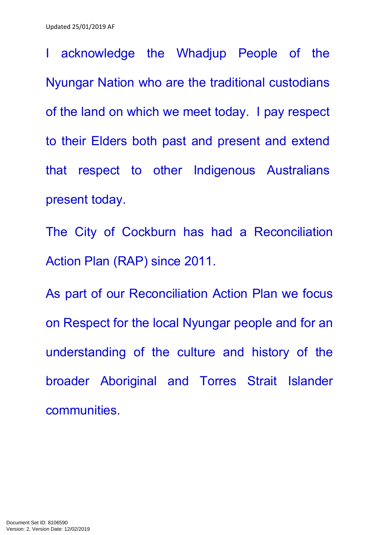I acknowledge the Whadjup People of the Nyungar Nation who are the traditional custodians of the land on which we meet today. I pay respect to their Elders both past and present and extend that respect to other Indigenous Australians present today.

The City of Cockburn has had a Reconciliation Action Plan (RAP) since 2011.

As part of our Reconciliation Action Plan we focus on Respect for the local Nyungar people and for an understanding of the culture and history of the broader Aboriginal and Torres Strait Islander communities.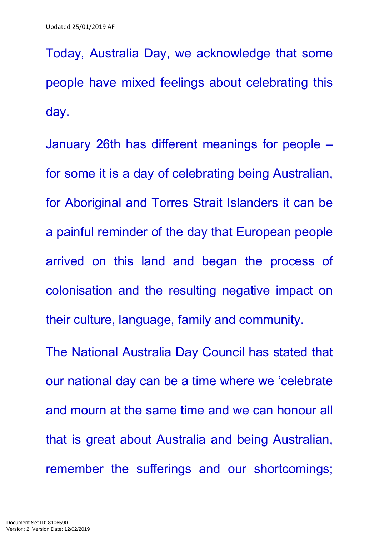Today, Australia Day, we acknowledge that some people have mixed feelings about celebrating this day.

January 26th has different meanings for people – for some it is a day of celebrating being Australian, for Aboriginal and Torres Strait Islanders it can be a painful reminder of the day that European people arrived on this land and began the process of colonisation and the resulting negative impact on their culture, language, family and community.

The National Australia Day Council has stated that our national day can be a time where we 'celebrate and mourn at the same time and we can honour all that is great about Australia and being Australian, remember the sufferings and our shortcomings;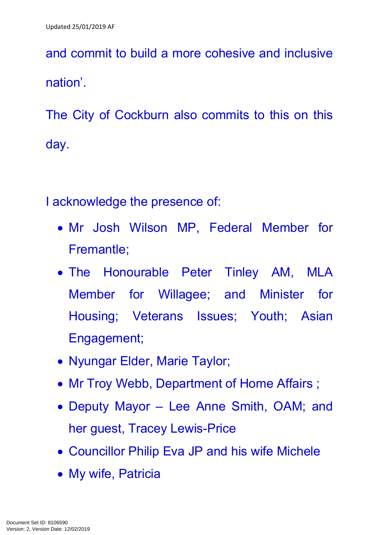and commit to build a more cohesive and inclusive nation'.

The City of Cockburn also commits to this on this day.

I acknowledge the presence of:

- Mr Josh Wilson MP, Federal Member for Fremantle;
- The Honourable Peter Tinley AM, MLA Member for Willagee; and Minister for Housing; Veterans Issues; Youth; Asian Engagement;
- Nyungar Elder, Marie Taylor;
- Mr Troy Webb, Department of Home Affairs;
- Deputy Mayor Lee Anne Smith, OAM; and her guest, Tracey Lewis-Price
- Councillor Philip Eva JP and his wife Michele
- My wife, Patricia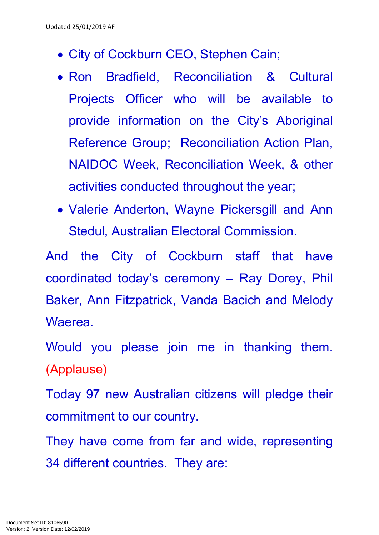- City of Cockburn CEO, Stephen Cain;
- Ron Bradfield, Reconciliation & Cultural Projects Officer who will be available to provide information on the City's Aboriginal Reference Group; Reconciliation Action Plan, NAIDOC Week, Reconciliation Week, & other activities conducted throughout the year;
- Valerie Anderton, Wayne Pickersgill and Ann Stedul, Australian Electoral Commission.

And the City of Cockburn staff that have coordinated today's ceremony – Ray Dorey, Phil Baker, Ann Fitzpatrick, Vanda Bacich and Melody Waerea.

Would you please join me in thanking them. (Applause)

Today 97 new Australian citizens will pledge their commitment to our country.

They have come from far and wide, representing 34 different countries. They are: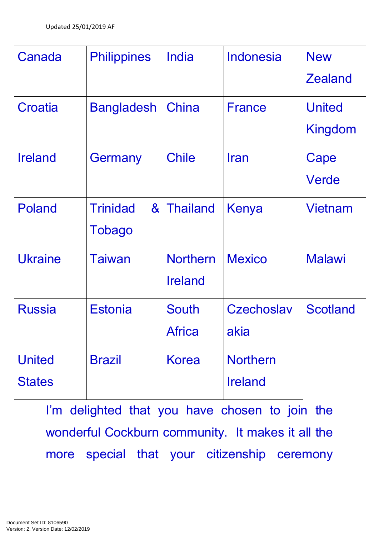| Canada                         | <b>Philippines</b>                                        | India                             | <b>Indonesia</b>                  | <b>New</b><br><b>Zealand</b>    |
|--------------------------------|-----------------------------------------------------------|-----------------------------------|-----------------------------------|---------------------------------|
| Croatia                        | <b>Bangladesh</b>                                         | China                             | <b>France</b>                     | <b>United</b><br><b>Kingdom</b> |
| <b>Ireland</b>                 | Germany                                                   | <b>Chile</b>                      | <b>I</b> ran                      | Cape<br>Verde                   |
| Poland                         | <b>Trinidad</b><br>$\boldsymbol{\alpha}$<br><b>Tobago</b> | <b>Thailand</b>                   | Kenya                             | <b>Vietnam</b>                  |
| <b>Ukraine</b>                 | Taiwan                                                    | <b>Northern</b><br><b>Ireland</b> | <b>Mexico</b>                     | <b>Malawi</b>                   |
| <b>Russia</b>                  | <b>Estonia</b>                                            | <b>South</b><br><b>Africa</b>     | <b>Czechoslav</b><br>akia         | <b>Scotland</b>                 |
| <b>United</b><br><b>States</b> | <b>Brazil</b>                                             | <b>Korea</b>                      | <b>Northern</b><br><b>Ireland</b> |                                 |

I'm delighted that you have chosen to join the wonderful Cockburn community. It makes it all the more special that your citizenship ceremony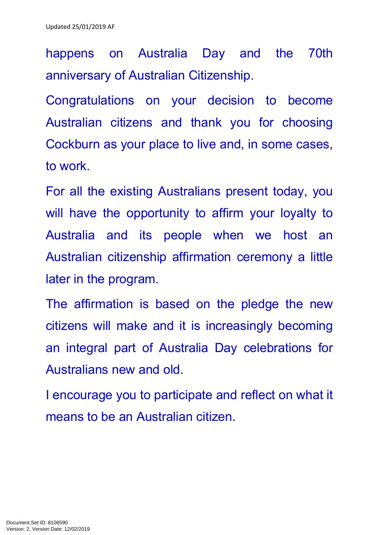happens on Australia Day and the 70th anniversary of Australian Citizenship.

Congratulations on your decision to become Australian citizens and thank you for choosing Cockburn as your place to live and, in some cases, to work.

For all the existing Australians present today, you will have the opportunity to affirm your loyalty to Australia and its people when we host an Australian citizenship affirmation ceremony a little later in the program.

The affirmation is based on the pledge the new citizens will make and it is increasingly becoming an integral part of Australia Day celebrations for Australians new and old.

I encourage you to participate and reflect on what it means to be an Australian citizen.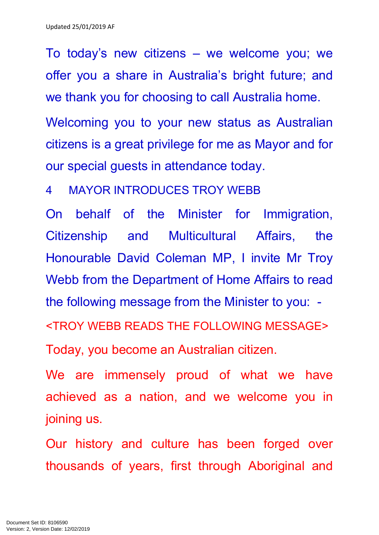To today's new citizens – we welcome you; we offer you a share in Australia's bright future; and we thank you for choosing to call Australia home.

Welcoming you to your new status as Australian citizens is a great privilege for me as Mayor and for our special guests in attendance today.

4 MAYOR INTRODUCES TROY WEBB

On behalf of the Minister for Immigration, Citizenship and Multicultural Affairs, the Honourable David Coleman MP, I invite Mr Troy Webb from the Department of Home Affairs to read the following message from the Minister to you: - <TROY WEBB READS THE FOLLOWING MESSAGE>

Today, you become an Australian citizen.

We are immensely proud of what we have achieved as a nation, and we welcome you in joining us.

Our history and culture has been forged over thousands of years, first through Aboriginal and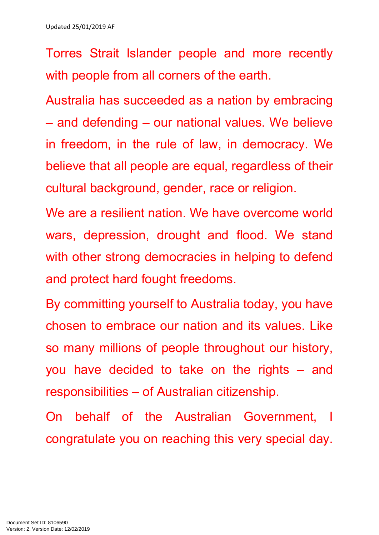Torres Strait Islander people and more recently with people from all corners of the earth.

Australia has succeeded as a nation by embracing – and defending – our national values. We believe in freedom, in the rule of law, in democracy. We believe that all people are equal, regardless of their cultural background, gender, race or religion.

We are a resilient nation. We have overcome world wars, depression, drought and flood. We stand with other strong democracies in helping to defend and protect hard fought freedoms.

By committing yourself to Australia today, you have chosen to embrace our nation and its values. Like so many millions of people throughout our history, you have decided to take on the rights – and responsibilities – of Australian citizenship.

On behalf of the Australian Government, I congratulate you on reaching this very special day.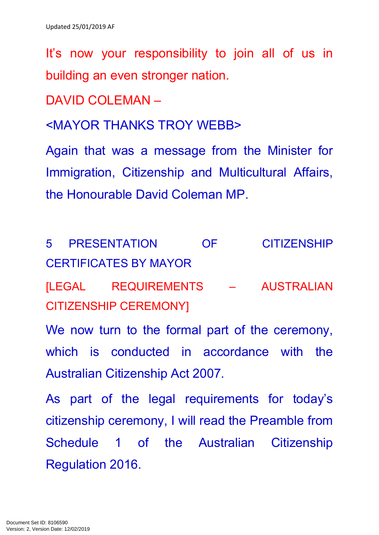It's now your responsibility to join all of us in building an even stronger nation.

DAVID COLEMAN –

<MAYOR THANKS TROY WEBB>

Again that was a message from the Minister for Immigration, Citizenship and Multicultural Affairs, the Honourable David Coleman MP.

5 PRESENTATION OF CITIZENSHIP CERTIFICATES BY MAYOR

[LEGAL REQUIREMENTS – AUSTRALIAN CITIZENSHIP CEREMONY]

We now turn to the formal part of the ceremony, which is conducted in accordance with the Australian Citizenship Act 2007.

As part of the legal requirements for today's citizenship ceremony, I will read the Preamble from Schedule 1 of the Australian Citizenship Regulation 2016.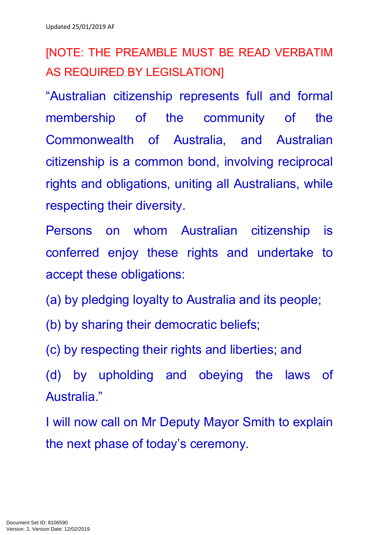[NOTE: THE PREAMBLE MUST BE READ VERBATIM AS REQUIRED BY LEGISLATION]

"Australian citizenship represents full and formal membership of the community of the Commonwealth of Australia, and Australian citizenship is a common bond, involving reciprocal rights and obligations, uniting all Australians, while respecting their diversity.

Persons on whom Australian citizenship is conferred enjoy these rights and undertake to accept these obligations:

- (a) by pledging loyalty to Australia and its people;
- (b) by sharing their democratic beliefs;
- (c) by respecting their rights and liberties; and
- (d) by upholding and obeying the laws of Australia."

I will now call on Mr Deputy Mayor Smith to explain the next phase of today's ceremony.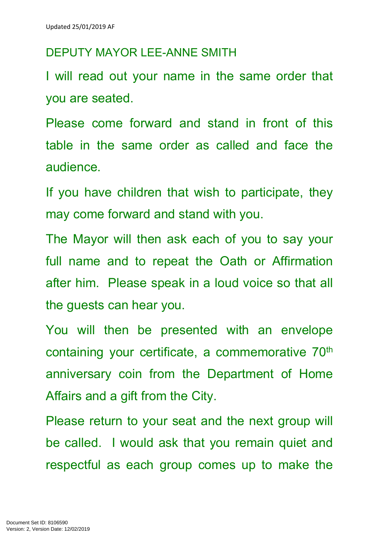#### DEPUTY MAYOR LEE-ANNE SMITH

I will read out your name in the same order that you are seated.

Please come forward and stand in front of this table in the same order as called and face the audience.

If you have children that wish to participate, they may come forward and stand with you.

The Mayor will then ask each of you to say your full name and to repeat the Oath or Affirmation after him. Please speak in a loud voice so that all the guests can hear you.

You will then be presented with an envelope containing your certificate, a commemorative 70<sup>th</sup> anniversary coin from the Department of Home Affairs and a gift from the City.

Please return to your seat and the next group will be called. I would ask that you remain quiet and respectful as each group comes up to make the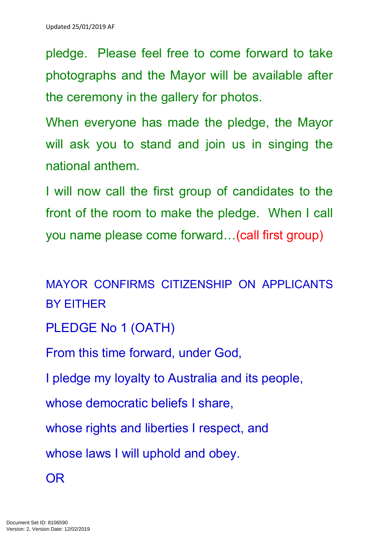pledge. Please feel free to come forward to take photographs and the Mayor will be available after the ceremony in the gallery for photos.

When everyone has made the pledge, the Mayor will ask you to stand and join us in singing the national anthem.

I will now call the first group of candidates to the front of the room to make the pledge. When I call you name please come forward…(call first group)

MAYOR CONFIRMS CITIZENSHIP ON APPLICANTS BY EITHER

PLEDGE No 1 (OATH)

From this time forward, under God,

I pledge my loyalty to Australia and its people,

whose democratic beliefs I share,

whose rights and liberties I respect, and

whose laws I will uphold and obey.

OR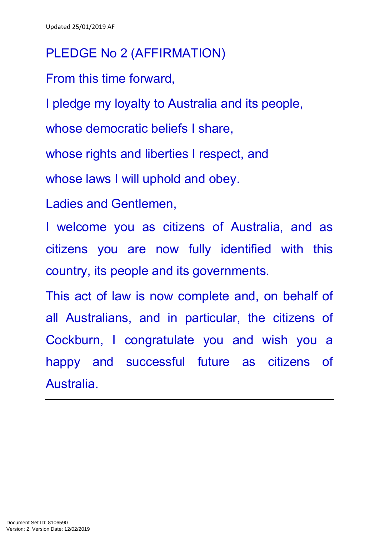## PLEDGE No 2 (AFFIRMATION)

From this time forward,

I pledge my loyalty to Australia and its people,

whose democratic beliefs I share.

whose rights and liberties I respect, and

whose laws I will uphold and obey.

Ladies and Gentlemen,

I welcome you as citizens of Australia, and as citizens you are now fully identified with this country, its people and its governments.

This act of law is now complete and, on behalf of all Australians, and in particular, the citizens of Cockburn, I congratulate you and wish you a happy and successful future as citizens of Australia.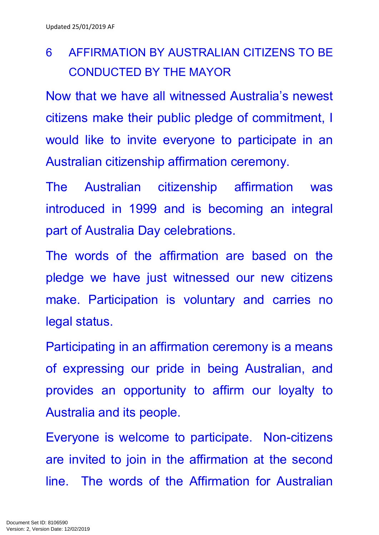# 6 AFFIRMATION BY AUSTRALIAN CITIZENS TO BE CONDUCTED BY THE MAYOR

Now that we have all witnessed Australia's newest citizens make their public pledge of commitment, I would like to invite everyone to participate in an Australian citizenship affirmation ceremony.

The Australian citizenship affirmation was introduced in 1999 and is becoming an integral part of Australia Day celebrations.

The words of the affirmation are based on the pledge we have just witnessed our new citizens make. Participation is voluntary and carries no legal status.

Participating in an affirmation ceremony is a means of expressing our pride in being Australian, and provides an opportunity to affirm our loyalty to Australia and its people.

Everyone is welcome to participate. Non-citizens are invited to join in the affirmation at the second line. The words of the Affirmation for Australian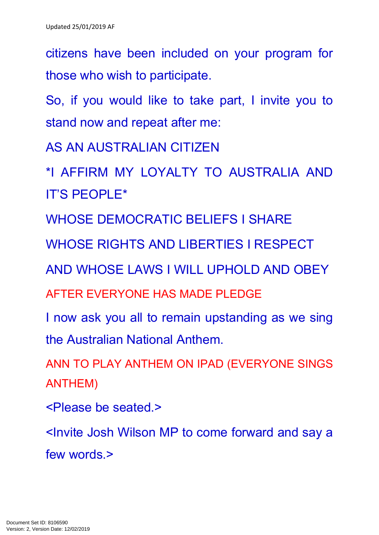citizens have been included on your program for those who wish to participate.

So, if you would like to take part, I invite you to stand now and repeat after me:

AS AN AUSTRALIAN CITIZEN

\*I AFFIRM MY LOYALTY TO AUSTRALIA AND IT'S PEOPLE\*

WHOSE DEMOCRATIC BELIEFS I SHARE

WHOSE RIGHTS AND LIBERTIES I RESPECT

AND WHOSE LAWS I WILL UPHOLD AND OBEY

AFTER EVERYONE HAS MADE PLEDGE

I now ask you all to remain upstanding as we sing the Australian National Anthem.

ANN TO PLAY ANTHEM ON IPAD (EVERYONE SINGS ANTHEM)

<Please be seated.>

<Invite Josh Wilson MP to come forward and say a few words.>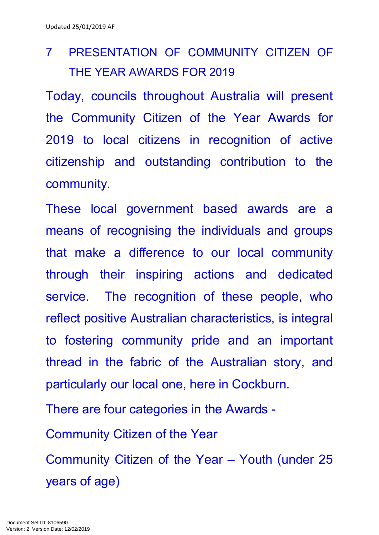# 7 PRESENTATION OF COMMUNITY CITIZEN OF THE YEAR AWARDS FOR 2019

Today, councils throughout Australia will present the Community Citizen of the Year Awards for 2019 to local citizens in recognition of active citizenship and outstanding contribution to the community.

These local government based awards are a means of recognising the individuals and groups that make a difference to our local community through their inspiring actions and dedicated service. The recognition of these people, who reflect positive Australian characteristics, is integral to fostering community pride and an important thread in the fabric of the Australian story, and particularly our local one, here in Cockburn.

There are four categories in the Awards -

Community Citizen of the Year

Community Citizen of the Year – Youth (under 25 years of age)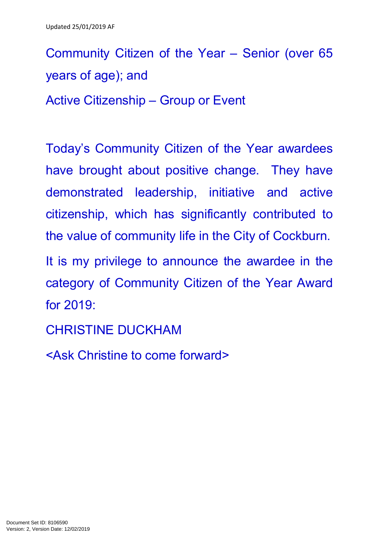Community Citizen of the Year – Senior (over 65 years of age); and Active Citizenship – Group or Event

Today's Community Citizen of the Year awardees have brought about positive change. They have demonstrated leadership, initiative and active citizenship, which has significantly contributed to the value of community life in the City of Cockburn.

It is my privilege to announce the awardee in the category of Community Citizen of the Year Award for 2019:

CHRISTINE DUCKHAM

<Ask Christine to come forward>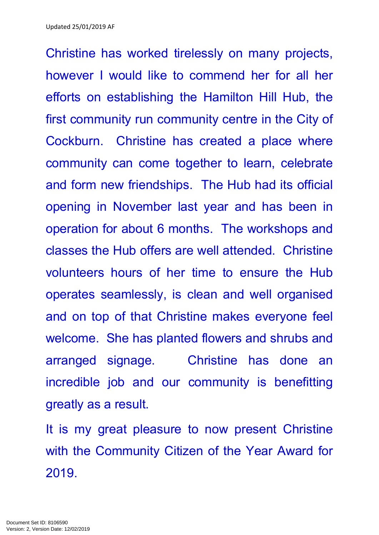Christine has worked tirelessly on many projects, however I would like to commend her for all her efforts on establishing the Hamilton Hill Hub, the first community run community centre in the City of Cockburn. Christine has created a place where community can come together to learn, celebrate and form new friendships. The Hub had its official opening in November last year and has been in operation for about 6 months. The workshops and classes the Hub offers are well attended. Christine volunteers hours of her time to ensure the Hub operates seamlessly, is clean and well organised and on top of that Christine makes everyone feel welcome. She has planted flowers and shrubs and arranged signage. Christine has done an incredible job and our community is benefitting greatly as a result.

It is my great pleasure to now present Christine with the Community Citizen of the Year Award for 2019.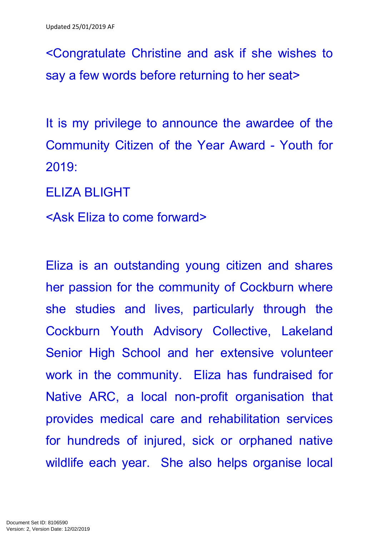<Congratulate Christine and ask if she wishes to say a few words before returning to her seat>

It is my privilege to announce the awardee of the Community Citizen of the Year Award - Youth for 2019:

ELIZA BLIGHT

<Ask Eliza to come forward>

Eliza is an outstanding young citizen and shares her passion for the community of Cockburn where she studies and lives, particularly through the Cockburn Youth Advisory Collective, Lakeland Senior High School and her extensive volunteer work in the community. Eliza has fundraised for Native ARC, a local non-profit organisation that provides medical care and rehabilitation services for hundreds of injured, sick or orphaned native wildlife each year. She also helps organise local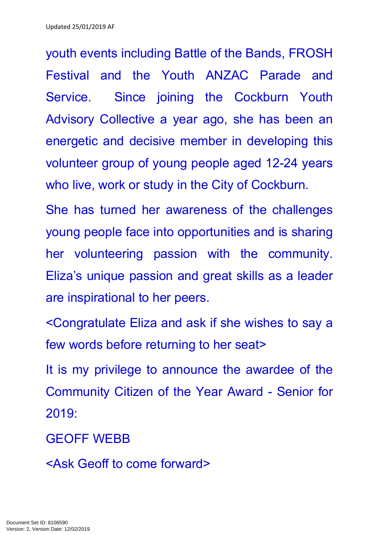youth events including Battle of the Bands, FROSH Festival and the Youth ANZAC Parade and Service. Since joining the Cockburn Youth Advisory Collective a year ago, she has been an energetic and decisive member in developing this volunteer group of young people aged 12-24 years who live, work or study in the City of Cockburn.

She has turned her awareness of the challenges young people face into opportunities and is sharing her volunteering passion with the community. Eliza's unique passion and great skills as a leader are inspirational to her peers.

<Congratulate Eliza and ask if she wishes to say a few words before returning to her seat>

It is my privilege to announce the awardee of the Community Citizen of the Year Award - Senior for 2019:

### GEOFF WEBB

<Ask Geoff to come forward>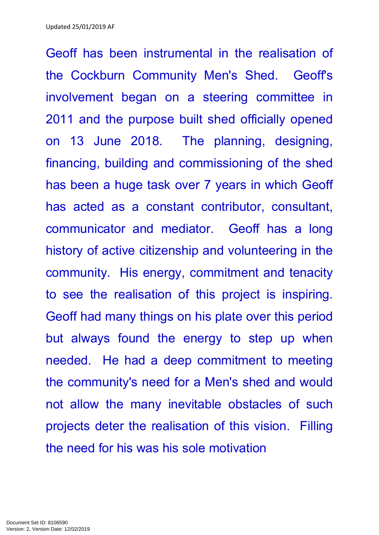Geoff has been instrumental in the realisation of the Cockburn Community Men's Shed. Geoff's involvement began on a steering committee in 2011 and the purpose built shed officially opened on 13 June 2018. The planning, designing, financing, building and commissioning of the shed has been a huge task over 7 years in which Geoff has acted as a constant contributor, consultant, communicator and mediator. Geoff has a long history of active citizenship and volunteering in the community. His energy, commitment and tenacity to see the realisation of this project is inspiring. Geoff had many things on his plate over this period but always found the energy to step up when needed. He had a deep commitment to meeting the community's need for a Men's shed and would not allow the many inevitable obstacles of such projects deter the realisation of this vision. Filling the need for his was his sole motivation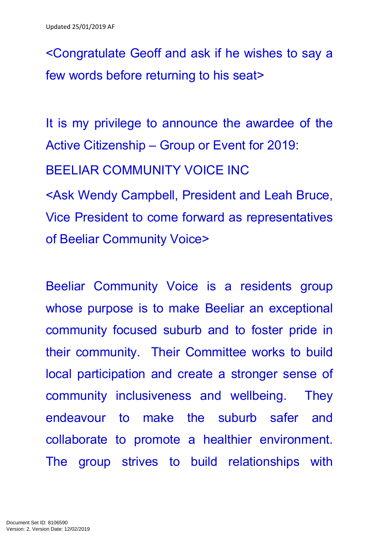<Congratulate Geoff and ask if he wishes to say a few words before returning to his seat>

It is my privilege to announce the awardee of the Active Citizenship – Group or Event for 2019:

BEELIAR COMMUNITY VOICE INC

<Ask Wendy Campbell, President and Leah Bruce, Vice President to come forward as representatives of Beeliar Community Voice>

Beeliar Community Voice is a residents group whose purpose is to make Beeliar an exceptional community focused suburb and to foster pride in their community. Their Committee works to build local participation and create a stronger sense of community inclusiveness and wellbeing. They endeavour to make the suburb safer and collaborate to promote a healthier environment. The group strives to build relationships with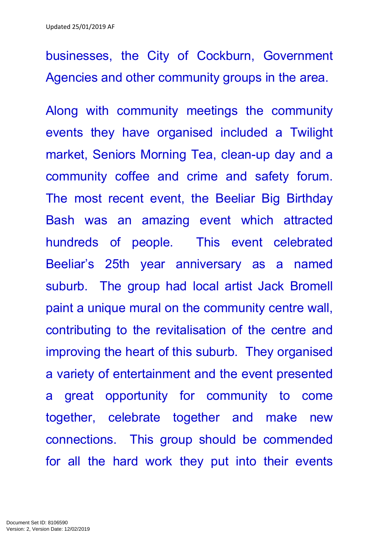businesses, the City of Cockburn, Government Agencies and other community groups in the area.

Along with community meetings the community events they have organised included a Twilight market, Seniors Morning Tea, clean-up day and a community coffee and crime and safety forum. The most recent event, the Beeliar Big Birthday Bash was an amazing event which attracted hundreds of people. This event celebrated Beeliar's 25th year anniversary as a named suburb. The group had local artist Jack Bromell paint a unique mural on the community centre wall, contributing to the revitalisation of the centre and improving the heart of this suburb. They organised a variety of entertainment and the event presented a great opportunity for community to come together, celebrate together and make new connections. This group should be commended for all the hard work they put into their events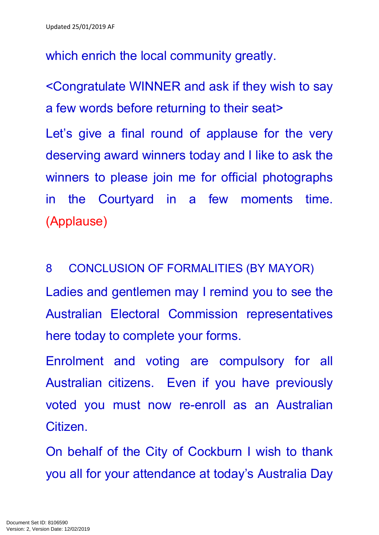which enrich the local community greatly.

<Congratulate WINNER and ask if they wish to say a few words before returning to their seat>

Let's give a final round of applause for the very deserving award winners today and I like to ask the winners to please join me for official photographs in the Courtyard in a few moments time. (Applause)

8 CONCLUSION OF FORMALITIES (BY MAYOR)

Ladies and gentlemen may I remind you to see the Australian Electoral Commission representatives here today to complete your forms.

Enrolment and voting are compulsory for all Australian citizens. Even if you have previously voted you must now re-enroll as an Australian Citizen.

On behalf of the City of Cockburn I wish to thank you all for your attendance at today's Australia Day